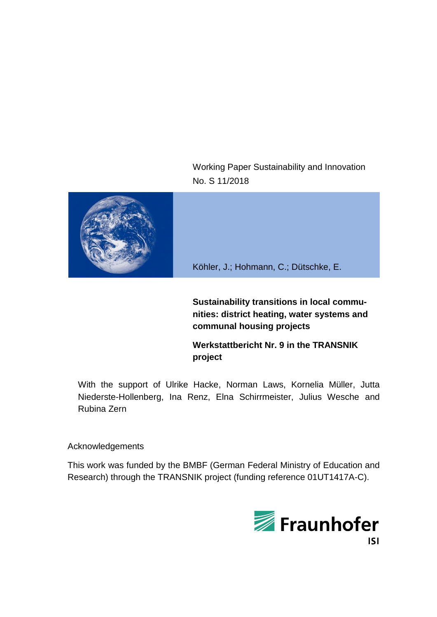Working Paper Sustainability and Innovation No. S 11/2018



Köhler, J.; Hohmann, C.; Dütschke, E.

**Sustainability transitions in local communities: district heating, water systems and communal housing projects**

**Werkstattbericht Nr. 9 in the TRANSNIK project**

With the support of Ulrike Hacke, Norman Laws, Kornelia Müller, Jutta Niederste-Hollenberg, Ina Renz, Elna Schirrmeister, Julius Wesche and Rubina Zern

Acknowledgements

This work was funded by the BMBF (German Federal Ministry of Education and Research) through the TRANSNIK project (funding reference 01UT1417A-C).

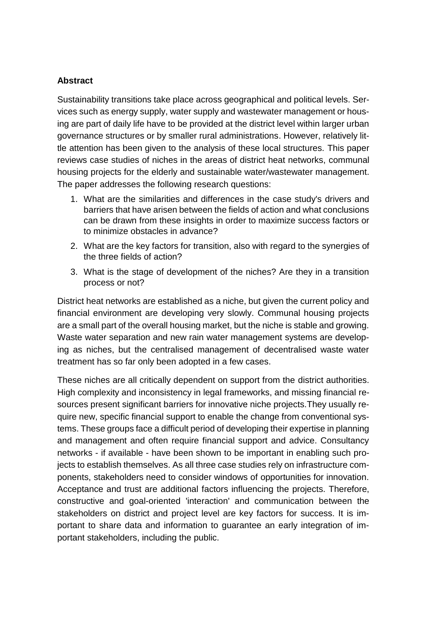### **Abstract**

Sustainability transitions take place across geographical and political levels. Services such as energy supply, water supply and wastewater management or housing are part of daily life have to be provided at the district level within larger urban governance structures or by smaller rural administrations. However, relatively little attention has been given to the analysis of these local structures. This paper reviews case studies of niches in the areas of district heat networks, communal housing projects for the elderly and sustainable water/wastewater management. The paper addresses the following research questions:

- 1. What are the similarities and differences in the case study's drivers and barriers that have arisen between the fields of action and what conclusions can be drawn from these insights in order to maximize success factors or to minimize obstacles in advance?
- 2. What are the key factors for transition, also with regard to the synergies of the three fields of action?
- 3. What is the stage of development of the niches? Are they in a transition process or not?

District heat networks are established as a niche, but given the current policy and financial environment are developing very slowly. Communal housing projects are a small part of the overall housing market, but the niche is stable and growing. Waste water separation and new rain water management systems are developing as niches, but the centralised management of decentralised waste water treatment has so far only been adopted in a few cases.

These niches are all critically dependent on support from the district authorities. High complexity and inconsistency in legal frameworks, and missing financial resources present significant barriers for innovative niche projects.They usually require new, specific financial support to enable the change from conventional systems. These groups face a difficult period of developing their expertise in planning and management and often require financial support and advice. Consultancy networks - if available - have been shown to be important in enabling such projects to establish themselves. As all three case studies rely on infrastructure components, stakeholders need to consider windows of opportunities for innovation. Acceptance and trust are additional factors influencing the projects. Therefore, constructive and goal-oriented 'interaction' and communication between the stakeholders on district and project level are key factors for success. It is important to share data and information to guarantee an early integration of important stakeholders, including the public.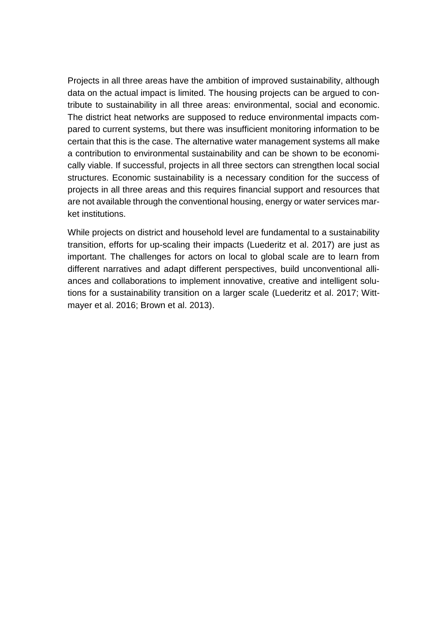Projects in all three areas have the ambition of improved sustainability, although data on the actual impact is limited. The housing projects can be argued to contribute to sustainability in all three areas: environmental, social and economic. The district heat networks are supposed to reduce environmental impacts compared to current systems, but there was insufficient monitoring information to be certain that this is the case. The alternative water management systems all make a contribution to environmental sustainability and can be shown to be economically viable. If successful, projects in all three sectors can strengthen local social structures. Economic sustainability is a necessary condition for the success of projects in all three areas and this requires financial support and resources that are not available through the conventional housing, energy or water services market institutions.

While projects on district and household level are fundamental to a sustainability transition, efforts for up-scaling their impacts (Luederitz et al. 2017) are just as important. The challenges for actors on local to global scale are to learn from different narratives and adapt different perspectives, build unconventional alliances and collaborations to implement innovative, creative and intelligent solutions for a sustainability transition on a larger scale (Luederitz et al. 2017; Wittmayer et al. 2016; Brown et al. 2013).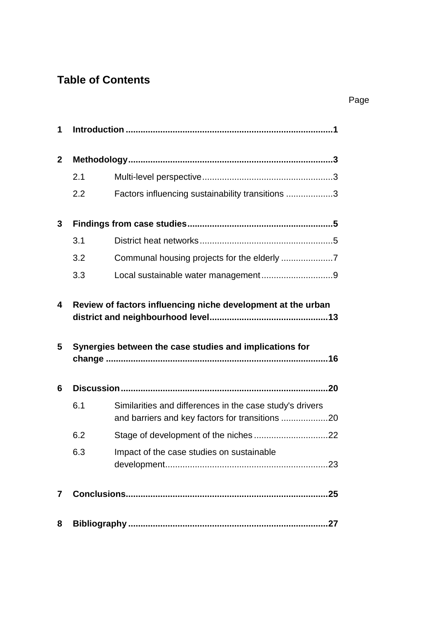# **Table of Contents**

| 1              |                                                              |                                                                                                             |  |  |  |  |  |
|----------------|--------------------------------------------------------------|-------------------------------------------------------------------------------------------------------------|--|--|--|--|--|
| $\mathbf{2}$   |                                                              |                                                                                                             |  |  |  |  |  |
|                | 2.1                                                          |                                                                                                             |  |  |  |  |  |
|                | 2.2                                                          | Factors influencing sustainability transitions 3                                                            |  |  |  |  |  |
| 3              |                                                              |                                                                                                             |  |  |  |  |  |
|                | 3.1                                                          |                                                                                                             |  |  |  |  |  |
|                | 3.2                                                          | Communal housing projects for the elderly 7                                                                 |  |  |  |  |  |
|                | 3.3                                                          |                                                                                                             |  |  |  |  |  |
| 4              | Review of factors influencing niche development at the urban |                                                                                                             |  |  |  |  |  |
| 5              |                                                              | Synergies between the case studies and implications for                                                     |  |  |  |  |  |
| 6              |                                                              |                                                                                                             |  |  |  |  |  |
|                | 6.1                                                          | Similarities and differences in the case study's drivers<br>and barriers and key factors for transitions 20 |  |  |  |  |  |
|                | 6.2                                                          |                                                                                                             |  |  |  |  |  |
|                | 6.3                                                          | Impact of the case studies on sustainable                                                                   |  |  |  |  |  |
| $\overline{7}$ |                                                              |                                                                                                             |  |  |  |  |  |
| 8              |                                                              |                                                                                                             |  |  |  |  |  |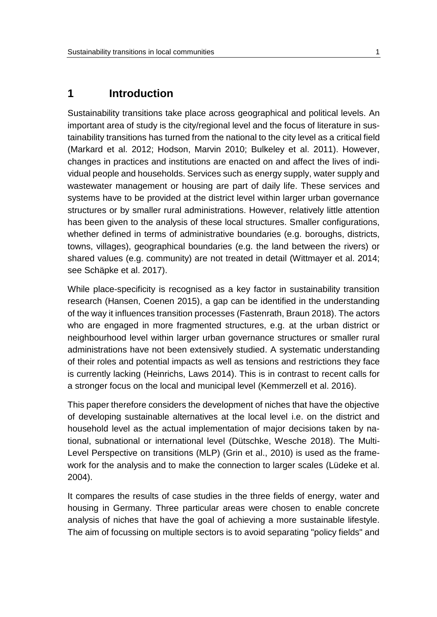### <span id="page-4-0"></span>**1 Introduction**

Sustainability transitions take place across geographical and political levels. An important area of study is the city/regional level and the focus of literature in sustainability transitions has turned from the national to the city level as a critical field (Markard et al. 2012; Hodson, Marvin 2010; Bulkeley et al. 2011). However, changes in practices and institutions are enacted on and affect the lives of individual people and households. Services such as energy supply, water supply and wastewater management or housing are part of daily life. These services and systems have to be provided at the district level within larger urban governance structures or by smaller rural administrations. However, relatively little attention has been given to the analysis of these local structures. Smaller configurations, whether defined in terms of administrative boundaries (e.g. boroughs, districts, towns, villages), geographical boundaries (e.g. the land between the rivers) or shared values (e.g. community) are not treated in detail (Wittmayer et al. 2014; see Schäpke et al. 2017).

While place-specificity is recognised as a key factor in sustainability transition research (Hansen, Coenen 2015), a gap can be identified in the understanding of the way it influences transition processes (Fastenrath, Braun 2018). The actors who are engaged in more fragmented structures, e.g. at the urban district or neighbourhood level within larger urban governance structures or smaller rural administrations have not been extensively studied. A systematic understanding of their roles and potential impacts as well as tensions and restrictions they face is currently lacking (Heinrichs, Laws 2014). This is in contrast to recent calls for a stronger focus on the local and municipal level (Kemmerzell et al. 2016).

This paper therefore considers the development of niches that have the objective of developing sustainable alternatives at the local level i.e. on the district and household level as the actual implementation of major decisions taken by national, subnational or international level (Dütschke, Wesche 2018). The Multi-Level Perspective on transitions (MLP) (Grin et al., 2010) is used as the framework for the analysis and to make the connection to larger scales (Lüdeke et al. 2004).

It compares the results of case studies in the three fields of energy, water and housing in Germany. Three particular areas were chosen to enable concrete analysis of niches that have the goal of achieving a more sustainable lifestyle. The aim of focussing on multiple sectors is to avoid separating "policy fields" and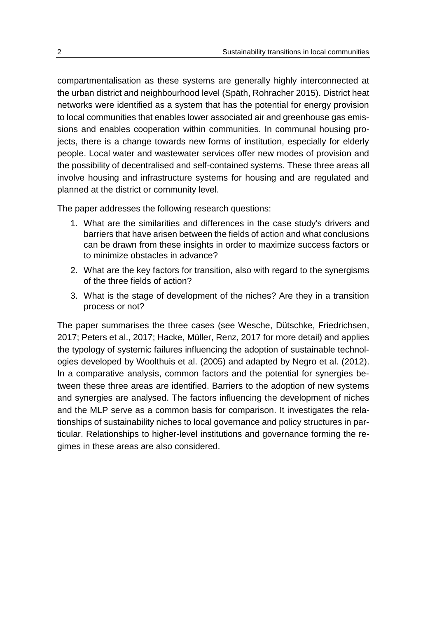compartmentalisation as these systems are generally highly interconnected at the urban district and neighbourhood level (Späth, Rohracher 2015). District heat networks were identified as a system that has the potential for energy provision to local communities that enables lower associated air and greenhouse gas emissions and enables cooperation within communities. In communal housing projects, there is a change towards new forms of institution, especially for elderly people. Local water and wastewater services offer new modes of provision and the possibility of decentralised and self-contained systems. These three areas all involve housing and infrastructure systems for housing and are regulated and planned at the district or community level.

The paper addresses the following research questions:

- 1. What are the similarities and differences in the case study's drivers and barriers that have arisen between the fields of action and what conclusions can be drawn from these insights in order to maximize success factors or to minimize obstacles in advance?
- 2. What are the key factors for transition, also with regard to the synergisms of the three fields of action?
- 3. What is the stage of development of the niches? Are they in a transition process or not?

The paper summarises the three cases (see Wesche, Dütschke, Friedrichsen, 2017; Peters et al., 2017; Hacke, Müller, Renz, 2017 for more detail) and applies the typology of systemic failures influencing the adoption of sustainable technologies developed by Woolthuis et al. (2005) and adapted by Negro et al. (2012). In a comparative analysis, common factors and the potential for synergies between these three areas are identified. Barriers to the adoption of new systems and synergies are analysed. The factors influencing the development of niches and the MLP serve as a common basis for comparison. It investigates the relationships of sustainability niches to local governance and policy structures in particular. Relationships to higher-level institutions and governance forming the regimes in these areas are also considered.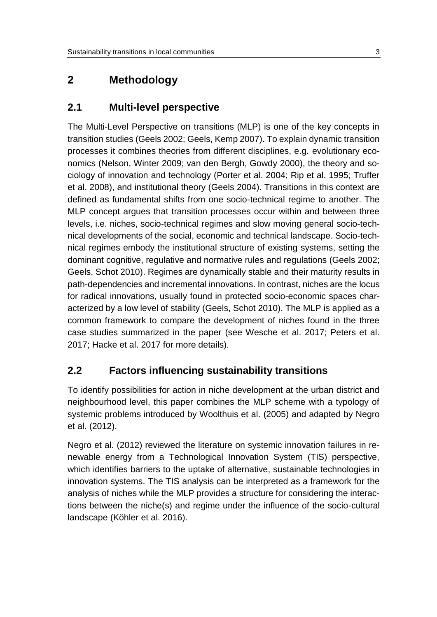# <span id="page-6-1"></span><span id="page-6-0"></span>**2 Methodology**

### **2.1 Multi-level perspective**

The Multi-Level Perspective on transitions (MLP) is one of the key concepts in transition studies (Geels 2002; Geels, Kemp 2007). To explain dynamic transition processes it combines theories from different disciplines, e.g. evolutionary economics (Nelson, Winter 2009; van den Bergh, Gowdy 2000), the theory and sociology of innovation and technology (Porter et al. 2004; Rip et al. 1995; Truffer et al. 2008), and institutional theory (Geels 2004). Transitions in this context are defined as fundamental shifts from one socio-technical regime to another. The MLP concept argues that transition processes occur within and between three levels, i.e. niches, socio-technical regimes and slow moving general socio-technical developments of the social, economic and technical landscape. Socio-technical regimes embody the institutional structure of existing systems, setting the dominant cognitive, regulative and normative rules and regulations (Geels 2002; Geels, Schot 2010). Regimes are dynamically stable and their maturity results in path-dependencies and incremental innovations. In contrast, niches are the locus for radical innovations, usually found in protected socio-economic spaces characterized by a low level of stability (Geels, Schot 2010). The MLP is applied as a common framework to compare the development of niches found in the three case studies summarized in the paper (see Wesche et al. 2017; Peters et al. 2017; Hacke et al. 2017 for more details).

### <span id="page-6-2"></span>**2.2 Factors influencing sustainability transitions**

To identify possibilities for action in niche development at the urban district and neighbourhood level, this paper combines the MLP scheme with a typology of systemic problems introduced by Woolthuis et al. (2005) and adapted by Negro et al. (2012).

Negro et al. (2012) reviewed the literature on systemic innovation failures in renewable energy from a Technological Innovation System (TIS) perspective, which identifies barriers to the uptake of alternative, sustainable technologies in innovation systems. The TIS analysis can be interpreted as a framework for the analysis of niches while the MLP provides a structure for considering the interactions between the niche(s) and regime under the influence of the socio-cultural landscape (Köhler et al. 2016).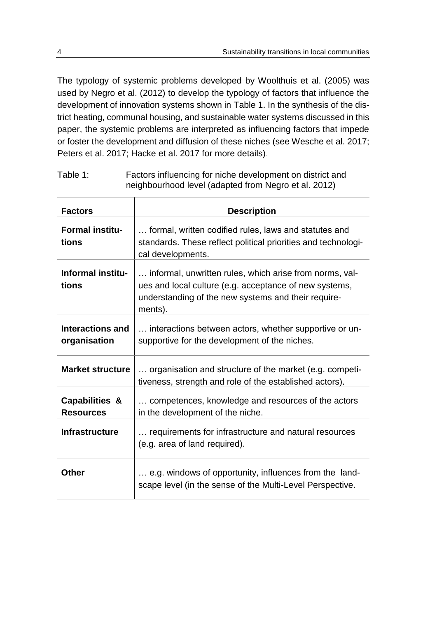The typology of systemic problems developed by Woolthuis et al. (2005) was used by Negro et al. (2012) to develop the typology of factors that influence the development of innovation systems shown in [Table 1.](#page-7-0) In the synthesis of the district heating, communal housing, and sustainable water systems discussed in this paper, the systemic problems are interpreted as influencing factors that impede or foster the development and diffusion of these niches (see Wesche et al. 2017; Peters et al. 2017; Hacke et al. 2017 for more details).

<span id="page-7-0"></span>Table 1: Factors influencing for niche development on district and neighbourhood level (adapted from Negro et al. 2012)

| <b>Factors</b>                          | <b>Description</b>                                                                                                                                                                  |  |  |
|-----------------------------------------|-------------------------------------------------------------------------------------------------------------------------------------------------------------------------------------|--|--|
| <b>Formal institu-</b><br>tions         | formal, written codified rules, laws and statutes and<br>standards. These reflect political priorities and technologi-<br>cal developments.                                         |  |  |
| <b>Informal institu-</b><br>tions       | informal, unwritten rules, which arise from norms, val-<br>ues and local culture (e.g. acceptance of new systems,<br>understanding of the new systems and their require-<br>ments). |  |  |
| <b>Interactions and</b><br>organisation | interactions between actors, whether supportive or un-<br>supportive for the development of the niches.                                                                             |  |  |
| <b>Market structure</b>                 | organisation and structure of the market (e.g. competi-<br>tiveness, strength and role of the established actors).                                                                  |  |  |
| Capabilities &<br><b>Resources</b>      | competences, knowledge and resources of the actors<br>in the development of the niche.                                                                                              |  |  |
| <b>Infrastructure</b>                   | requirements for infrastructure and natural resources<br>(e.g. area of land required).                                                                                              |  |  |
| Other                                   | e.g. windows of opportunity, influences from the land-<br>scape level (in the sense of the Multi-Level Perspective.                                                                 |  |  |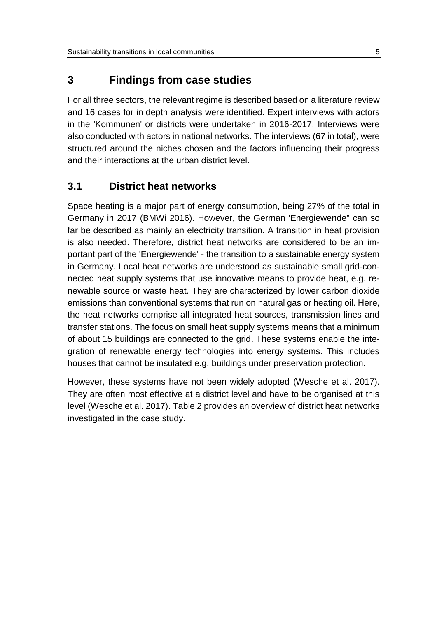## <span id="page-8-0"></span>**3 Findings from case studies**

For all three sectors, the relevant regime is described based on a literature review and 16 cases for in depth analysis were identified. Expert interviews with actors in the 'Kommunen' or districts were undertaken in 2016-2017. Interviews were also conducted with actors in national networks. The interviews (67 in total), were structured around the niches chosen and the factors influencing their progress and their interactions at the urban district level.

### <span id="page-8-1"></span>**3.1 District heat networks**

Space heating is a major part of energy consumption, being 27% of the total in Germany in 2017 (BMWi 2016). However, the German 'Energiewende" can so far be described as mainly an electricity transition. A transition in heat provision is also needed. Therefore, district heat networks are considered to be an important part of the 'Energiewende' - the transition to a sustainable energy system in Germany. Local heat networks are understood as sustainable small grid-connected heat supply systems that use innovative means to provide heat, e.g. renewable source or waste heat. They are characterized by lower carbon dioxide emissions than conventional systems that run on natural gas or heating oil. Here, the heat networks comprise all integrated heat sources, transmission lines and transfer stations. The focus on small heat supply systems means that a minimum of about 15 buildings are connected to the grid. These systems enable the integration of renewable energy technologies into energy systems. This includes houses that cannot be insulated e.g. buildings under preservation protection.

However, these systems have not been widely adopted (Wesche et al. 2017). They are often most effective at a district level and have to be organised at this level (Wesche et al. 2017). [Table 2](#page-9-0) provides an overview of district heat networks investigated in the case study.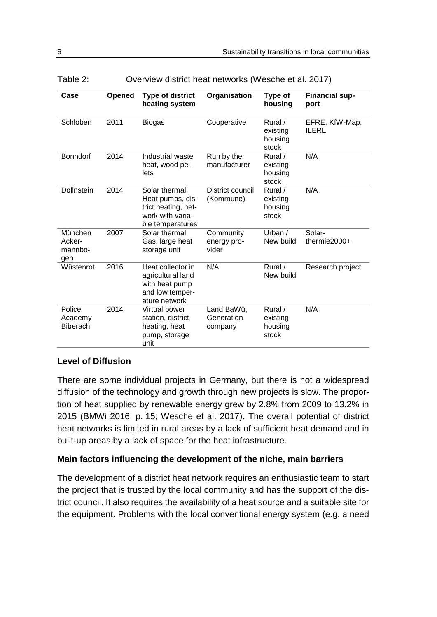| Case                                 | Opened | <b>Type of district</b><br>heating system                                                         | Organisation                        | Type of<br>housing                      | <b>Financial sup-</b><br>port  |
|--------------------------------------|--------|---------------------------------------------------------------------------------------------------|-------------------------------------|-----------------------------------------|--------------------------------|
| Schlöben                             | 2011   | <b>Biogas</b>                                                                                     | Cooperative                         | Rural /<br>existing<br>housing<br>stock | EFRE, KfW-Map,<br><b>ILERL</b> |
| <b>Bonndorf</b>                      | 2014   | Industrial waste<br>heat, wood pel-<br>lets                                                       | Run by the<br>manufacturer          | Rural /<br>existing<br>housing<br>stock | N/A                            |
| <b>Dollnstein</b>                    | 2014   | Solar thermal,<br>Heat pumps, dis-<br>trict heating, net-<br>work with varia-<br>ble temperatures | District council<br>(Kommune)       | Rural /<br>existing<br>housing<br>stock | N/A                            |
| München<br>Acker-<br>mannbo-<br>qen  | 2007   | Solar thermal,<br>Gas, large heat<br>storage unit                                                 | Community<br>energy pro-<br>vider   | Urban $/$<br>New build                  | Solar-<br>thermie $2000+$      |
| Wüstenrot                            | 2016   | Heat collector in<br>agricultural land<br>with heat pump<br>and low temper-<br>ature network      | N/A                                 | Rural /<br>New build                    | Research project               |
| Police<br>Academy<br><b>Biberach</b> | 2014   | Virtual power<br>station, district<br>heating, heat<br>pump, storage<br>unit                      | Land BaWü,<br>Generation<br>company | Rural /<br>existing<br>housing<br>stock | N/A                            |

<span id="page-9-0"></span>

|  | Table 2: | Overview district heat networks (Wesche et al. 2017) |  |
|--|----------|------------------------------------------------------|--|
|--|----------|------------------------------------------------------|--|

### **Level of Diffusion**

There are some individual projects in Germany, but there is not a widespread diffusion of the technology and growth through new projects is slow. The proportion of heat supplied by renewable energy grew by 2.8% from 2009 to 13.2% in 2015 (BMWi 2016, p. 15; Wesche et al. 2017). The overall potential of district heat networks is limited in rural areas by a lack of sufficient heat demand and in built-up areas by a lack of space for the heat infrastructure.

#### **Main factors influencing the development of the niche, main barriers**

The development of a district heat network requires an enthusiastic team to start the project that is trusted by the local community and has the support of the district council. It also requires the availability of a heat source and a suitable site for the equipment. Problems with the local conventional energy system (e.g. a need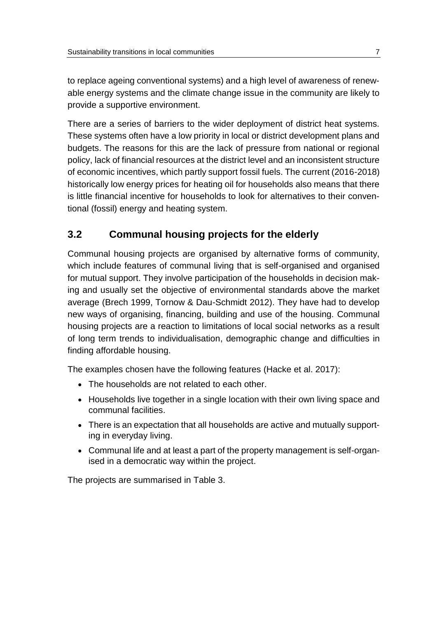to replace ageing conventional systems) and a high level of awareness of renewable energy systems and the climate change issue in the community are likely to provide a supportive environment.

There are a series of barriers to the wider deployment of district heat systems. These systems often have a low priority in local or district development plans and budgets. The reasons for this are the lack of pressure from national or regional policy, lack of financial resources at the district level and an inconsistent structure of economic incentives, which partly support fossil fuels. The current (2016-2018) historically low energy prices for heating oil for households also means that there is little financial incentive for households to look for alternatives to their conventional (fossil) energy and heating system.

### <span id="page-10-0"></span>**3.2 Communal housing projects for the elderly**

Communal housing projects are organised by alternative forms of community, which include features of communal living that is self-organised and organised for mutual support. They involve participation of the households in decision making and usually set the objective of environmental standards above the market average (Brech 1999, Tornow & Dau-Schmidt 2012). They have had to develop new ways of organising, financing, building and use of the housing. Communal housing projects are a reaction to limitations of local social networks as a result of long term trends to individualisation, demographic change and difficulties in finding affordable housing.

The examples chosen have the following features (Hacke et al. 2017):

- The households are not related to each other.
- Households live together in a single location with their own living space and communal facilities.
- There is an expectation that all households are active and mutually supporting in everyday living.
- Communal life and at least a part of the property management is self-organised in a democratic way within the project.

The projects are summarised in [Table 3.](#page-11-0)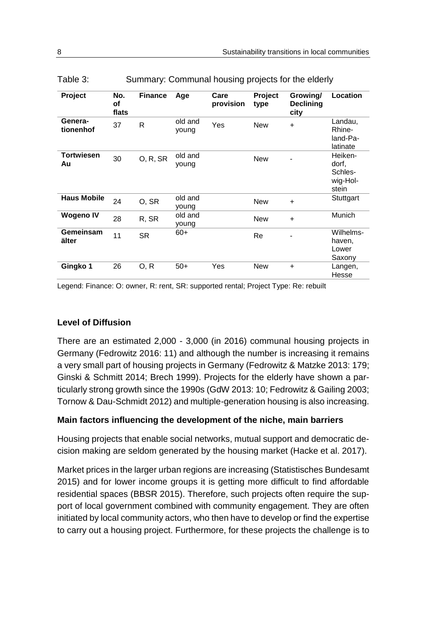| Project                 | No.<br>Οf<br>flats | <b>Finance</b> | Age              | Care<br>provision | Project<br>type | Growing/<br><b>Declining</b><br>city | Location                                         |
|-------------------------|--------------------|----------------|------------------|-------------------|-----------------|--------------------------------------|--------------------------------------------------|
| Genera-<br>tionenhof    | 37                 | R              | old and<br>young | Yes               | <b>New</b>      | $\ddot{}$                            | Landau,<br>Rhine-<br>land-Pa-<br>latinate        |
| <b>Tortwiesen</b><br>Au | 30                 | O, R, SR       | old and<br>young |                   | <b>New</b>      |                                      | Heiken-<br>dorf,<br>Schles-<br>wig-Hol-<br>stein |
| <b>Haus Mobile</b>      | 24                 | O, SR          | old and<br>young |                   | <b>New</b>      | $\ddot{}$                            | Stuttgart                                        |
| <b>Wogeno IV</b>        | 28                 | R, SR          | old and<br>young |                   | <b>New</b>      | $\ddot{}$                            | Munich                                           |
| Gemeinsam<br>älter      | 11                 | <b>SR</b>      | $60+$            |                   | Re              |                                      | Wilhelms-<br>haven,<br>Lower<br>Saxony           |
| Gingko 1                | 26                 | O, R           | $50+$            | Yes               | <b>New</b>      | $\ddot{}$                            | Langen,<br>Hesse                                 |

<span id="page-11-0"></span>

| Table 3: | Summary: Communal housing projects for the elderly |  |  |  |
|----------|----------------------------------------------------|--|--|--|
|          |                                                    |  |  |  |

Legend: Finance: O: owner, R: rent, SR: supported rental; Project Type: Re: rebuilt

#### **Level of Diffusion**

There are an estimated 2,000 - 3,000 (in 2016) communal housing projects in Germany (Fedrowitz 2016: 11) and although the number is increasing it remains a very small part of housing projects in Germany (Fedrowitz & Matzke 2013: 179; Ginski & Schmitt 2014; Brech 1999). Projects for the elderly have shown a particularly strong growth since the 1990s (GdW 2013: 10; Fedrowitz & Gailing 2003; Tornow & Dau-Schmidt 2012) and multiple-generation housing is also increasing.

#### **Main factors influencing the development of the niche, main barriers**

Housing projects that enable social networks, mutual support and democratic decision making are seldom generated by the housing market (Hacke et al. 2017).

Market prices in the larger urban regions are increasing (Statistisches Bundesamt 2015) and for lower income groups it is getting more difficult to find affordable residential spaces (BBSR 2015). Therefore, such projects often require the support of local government combined with community engagement. They are often initiated by local community actors, who then have to develop or find the expertise to carry out a housing project. Furthermore, for these projects the challenge is to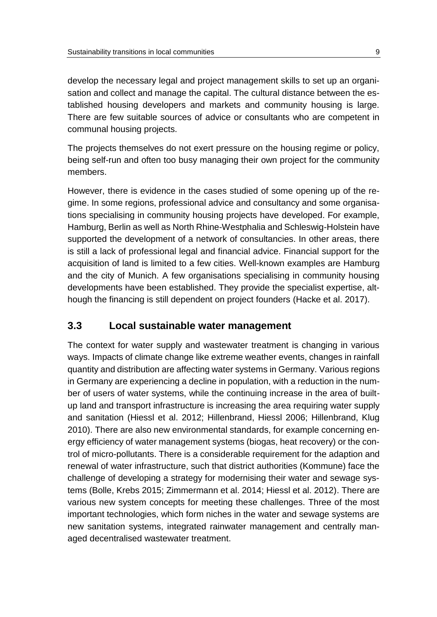develop the necessary legal and project management skills to set up an organisation and collect and manage the capital. The cultural distance between the established housing developers and markets and community housing is large. There are few suitable sources of advice or consultants who are competent in communal housing projects.

The projects themselves do not exert pressure on the housing regime or policy, being self-run and often too busy managing their own project for the community members.

However, there is evidence in the cases studied of some opening up of the regime. In some regions, professional advice and consultancy and some organisations specialising in community housing projects have developed. For example, Hamburg, Berlin as well as North Rhine-Westphalia and Schleswig-Holstein have supported the development of a network of consultancies. In other areas, there is still a lack of professional legal and financial advice. Financial support for the acquisition of land is limited to a few cities. Well-known examples are Hamburg and the city of Munich. A few organisations specialising in community housing developments have been established. They provide the specialist expertise, although the financing is still dependent on project founders (Hacke et al. 2017).

### <span id="page-12-0"></span>**3.3 Local sustainable water management**

The context for water supply and wastewater treatment is changing in various ways. Impacts of climate change like extreme weather events, changes in rainfall quantity and distribution are affecting water systems in Germany. Various regions in Germany are experiencing a decline in population, with a reduction in the number of users of water systems, while the continuing increase in the area of builtup land and transport infrastructure is increasing the area requiring water supply and sanitation (Hiessl et al. 2012; Hillenbrand, Hiessl 2006; Hillenbrand, Klug 2010). There are also new environmental standards, for example concerning energy efficiency of water management systems (biogas, heat recovery) or the control of micro-pollutants. There is a considerable requirement for the adaption and renewal of water infrastructure, such that district authorities (Kommune) face the challenge of developing a strategy for modernising their water and sewage systems (Bolle, Krebs 2015; Zimmermann et al. 2014; Hiessl et al. 2012). There are various new system concepts for meeting these challenges. Three of the most important technologies, which form niches in the water and sewage systems are new sanitation systems, integrated rainwater management and centrally managed decentralised wastewater treatment.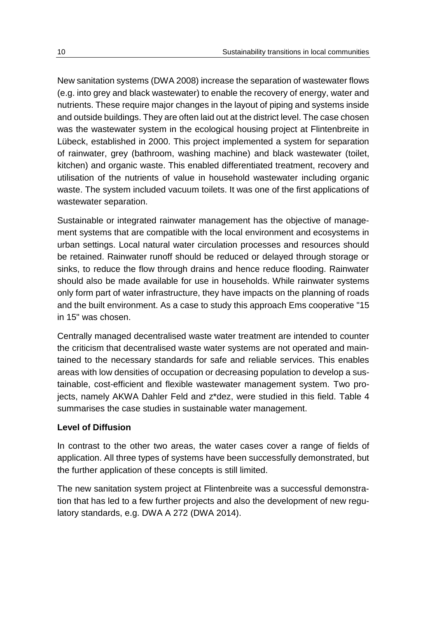New sanitation systems (DWA 2008) increase the separation of wastewater flows (e.g. into grey and black wastewater) to enable the recovery of energy, water and nutrients. These require major changes in the layout of piping and systems inside and outside buildings. They are often laid out at the district level. The case chosen was the wastewater system in the ecological housing project at Flintenbreite in Lübeck, established in 2000. This project implemented a system for separation of rainwater, grey (bathroom, washing machine) and black wastewater (toilet, kitchen) and organic waste. This enabled differentiated treatment, recovery and utilisation of the nutrients of value in household wastewater including organic waste. The system included vacuum toilets. It was one of the first applications of wastewater separation.

Sustainable or integrated rainwater management has the objective of management systems that are compatible with the local environment and ecosystems in urban settings. Local natural water circulation processes and resources should be retained. Rainwater runoff should be reduced or delayed through storage or sinks, to reduce the flow through drains and hence reduce flooding. Rainwater should also be made available for use in households. While rainwater systems only form part of water infrastructure, they have impacts on the planning of roads and the built environment. As a case to study this approach Ems cooperative "15 in 15" was chosen.

Centrally managed decentralised waste water treatment are intended to counter the criticism that decentralised waste water systems are not operated and maintained to the necessary standards for safe and reliable services. This enables areas with low densities of occupation or decreasing population to develop a sustainable, cost-efficient and flexible wastewater management system. Two projects, namely AKWA Dahler Feld and z\*dez, were studied in this field. [Table 4](#page-14-0) summarises the case studies in sustainable water management.

#### **Level of Diffusion**

In contrast to the other two areas, the water cases cover a range of fields of application. All three types of systems have been successfully demonstrated, but the further application of these concepts is still limited.

The new sanitation system project at Flintenbreite was a successful demonstration that has led to a few further projects and also the development of new regulatory standards, e.g. DWA A 272 (DWA 2014).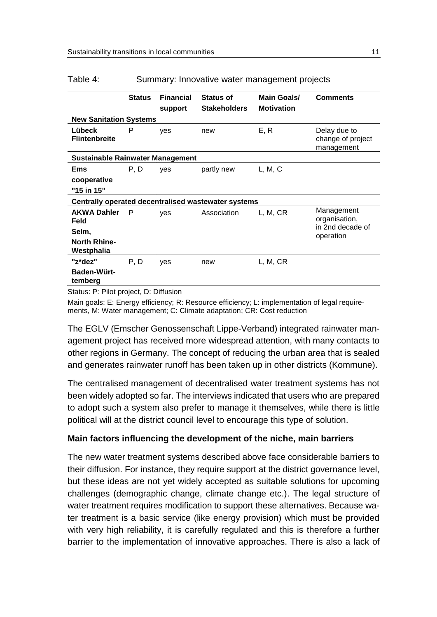|                                         | <b>Status</b> | <b>Financial</b><br>support | <b>Status of</b><br><b>Stakeholders</b>             | Main Goals/<br><b>Motivation</b> | <b>Comments</b>                                 |  |
|-----------------------------------------|---------------|-----------------------------|-----------------------------------------------------|----------------------------------|-------------------------------------------------|--|
| <b>New Sanitation Systems</b>           |               |                             |                                                     |                                  |                                                 |  |
| Lübeck<br><b>Flintenbreite</b>          | P             | ves                         | new                                                 | E, R                             | Delay due to<br>change of project<br>management |  |
| <b>Sustainable Rainwater Management</b> |               |                             |                                                     |                                  |                                                 |  |
| Ems                                     | P, D          | yes                         | partly new                                          | L, M, C                          |                                                 |  |
| cooperative                             |               |                             |                                                     |                                  |                                                 |  |
| "15 in 15"                              |               |                             |                                                     |                                  |                                                 |  |
|                                         |               |                             | Centrally operated decentralised wastewater systems |                                  |                                                 |  |
| <b>AKWA Dahler</b><br>Feld              | P             | yes                         | Association                                         | L, M, CR                         | Management<br>organisation,                     |  |
| Selm,                                   |               |                             |                                                     |                                  | in 2nd decade of<br>operation                   |  |
| <b>North Rhine-</b><br>Westphalia       |               |                             |                                                     |                                  |                                                 |  |
| "z*dez"                                 | P, D          | ves                         | new                                                 | L, M, CR                         |                                                 |  |
| Baden-Würt-<br>temberg                  |               |                             |                                                     |                                  |                                                 |  |

#### <span id="page-14-0"></span>Table 4: Summary: Innovative water management projects

Status: P: Pilot project, D: Diffusion

Main goals: E: Energy efficiency; R: Resource efficiency; L: implementation of legal requirements, M: Water management; C: Climate adaptation; CR: Cost reduction

The EGLV (Emscher Genossenschaft Lippe-Verband) integrated rainwater management project has received more widespread attention, with many contacts to other regions in Germany. The concept of reducing the urban area that is sealed and generates rainwater runoff has been taken up in other districts (Kommune).

The centralised management of decentralised water treatment systems has not been widely adopted so far. The interviews indicated that users who are prepared to adopt such a system also prefer to manage it themselves, while there is little political will at the district council level to encourage this type of solution.

#### **Main factors influencing the development of the niche, main barriers**

The new water treatment systems described above face considerable barriers to their diffusion. For instance, they require support at the district governance level, but these ideas are not yet widely accepted as suitable solutions for upcoming challenges (demographic change, climate change etc.). The legal structure of water treatment requires modification to support these alternatives. Because water treatment is a basic service (like energy provision) which must be provided with very high reliability, it is carefully regulated and this is therefore a further barrier to the implementation of innovative approaches. There is also a lack of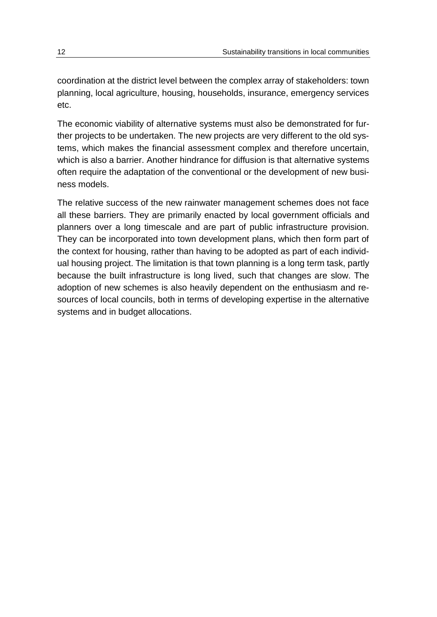coordination at the district level between the complex array of stakeholders: town planning, local agriculture, housing, households, insurance, emergency services etc.

The economic viability of alternative systems must also be demonstrated for further projects to be undertaken. The new projects are very different to the old systems, which makes the financial assessment complex and therefore uncertain, which is also a barrier. Another hindrance for diffusion is that alternative systems often require the adaptation of the conventional or the development of new business models.

The relative success of the new rainwater management schemes does not face all these barriers. They are primarily enacted by local government officials and planners over a long timescale and are part of public infrastructure provision. They can be incorporated into town development plans, which then form part of the context for housing, rather than having to be adopted as part of each individual housing project. The limitation is that town planning is a long term task, partly because the built infrastructure is long lived, such that changes are slow. The adoption of new schemes is also heavily dependent on the enthusiasm and resources of local councils, both in terms of developing expertise in the alternative systems and in budget allocations.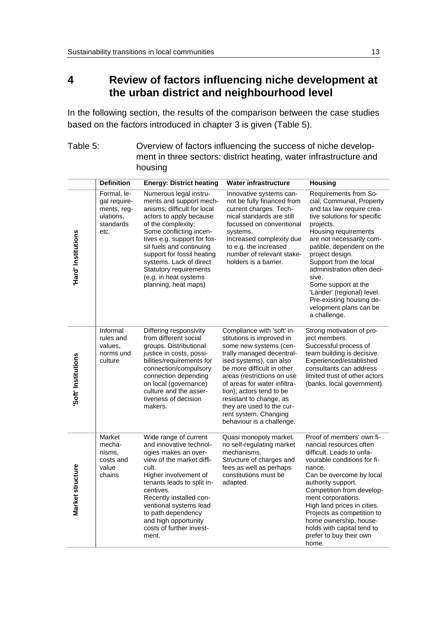# <span id="page-16-0"></span>**4 Review of factors influencing niche development at the urban district and neighbourhood level**

In the following section, the results of the comparison between the case studies based on the factors introduced in chapter [3](#page-6-2) is given [\(Table 5\)](#page-16-1).

<span id="page-16-1"></span>

| Table 5: | Overview of factors influencing the success of niche develop-     |
|----------|-------------------------------------------------------------------|
|          | ment in three sectors: district heating, water infrastructure and |
|          | housing                                                           |

|                     | <b>Definition</b>                                                            | <b>Energy: District heating</b>                                                                                                                                                                                                                                                                                                                                    | <b>Water infrastructure</b>                                                                                                                                                                                                                                                                                                                                                     | <b>Housing</b>                                                                                                                                                                                                                                                                                                                                                                                                             |
|---------------------|------------------------------------------------------------------------------|--------------------------------------------------------------------------------------------------------------------------------------------------------------------------------------------------------------------------------------------------------------------------------------------------------------------------------------------------------------------|---------------------------------------------------------------------------------------------------------------------------------------------------------------------------------------------------------------------------------------------------------------------------------------------------------------------------------------------------------------------------------|----------------------------------------------------------------------------------------------------------------------------------------------------------------------------------------------------------------------------------------------------------------------------------------------------------------------------------------------------------------------------------------------------------------------------|
| 'Hard' Institutions | Formal, le-<br>gal require-<br>ments, reg-<br>ulations,<br>standards<br>etc. | Numerous legal instru-<br>ments and support mech-<br>anisms; difficult for local<br>actors to apply because<br>of the complexity;<br>Some conflicting incen-<br>tives e.g. support for fos-<br>sil fuels and continuing<br>support for fossil heating<br>systems. Lack of direct<br><b>Statutory requirements</b><br>(e.g. in heat systems<br>planning, heat maps) | Innovative systems can-<br>not be fully financed from<br>current charges. Tech-<br>nical standards are still<br>focussed on conventional<br>systems.<br>Increased complexity due<br>to e.g. the increased<br>number of relevant stake-<br>holders is a barrier.                                                                                                                 | Requirements from So-<br>cial, Communal, Property<br>and tax law require crea-<br>tive solutions for specific<br>projects.<br>Housing requirements<br>are not necessarily com-<br>patible, dependent on the<br>project design.<br>Support from the local<br>administration often deci-<br>sive.<br>Some support at the<br>'Länder' (regional) level.<br>Pre-existing housing de-<br>velopment plans can be<br>a challenge. |
| 'Soft' Institutions | Informal<br>rules and<br>values.<br>norms und<br>culture                     | Differing responsivity<br>from different social<br>groups. Distributional<br>justice in costs, possi-<br>bilities/requirements for<br>connection/compulsory<br>connection depending<br>on local (governance)<br>culture and the asser-<br>tiveness of decision<br>makers.                                                                                          | Compliance with 'soft' in-<br>stitutions is improved in<br>some new systems (cen-<br>trally managed decentral-<br>ised systems), can also<br>be more difficult in other<br>areas (restrictions on use<br>of areas for water infiltra-<br>tion); actors tend to be<br>resistant to change, as<br>they are used to the cur-<br>rent system. Changing<br>behaviour is a challenge. | Strong motivation of pro-<br>ject members.<br>Successful process of<br>team building is decisive.<br>Experienced/established<br>consultants can address<br>limited trust of other actors<br>(banks, local government).                                                                                                                                                                                                     |
| Market structure    | Market<br>mecha-<br>nisms,<br>costs and<br>value<br>chains                   | Wide range of current<br>and innovative technol-<br>ogies makes an over-<br>view of the market diffi-<br>cult.<br>Higher involvement of<br>tenants leads to split in-<br>centives.<br>Recently installed con-<br>ventional systems lead<br>to path dependency<br>and high opportunity<br>costs of further invest-<br>ment.                                         | Quasi monopoly market.<br>no self-regulating market<br>mechanisms.<br>Structure of charges and<br>fees as well as perhaps<br>constitutions must be<br>adapted.                                                                                                                                                                                                                  | Proof of members' own fi-<br>nancial resources often<br>difficult. Leads to unfa-<br>vourable conditions for fi-<br>nance.<br>Can be overcome by local<br>authority support.<br>Competition from develop-<br>ment corporations.<br>High land prices in cities.<br>Projects as competition to<br>home ownership, house-<br>holds with capital tend to<br>prefer to buy their own<br>home.                                   |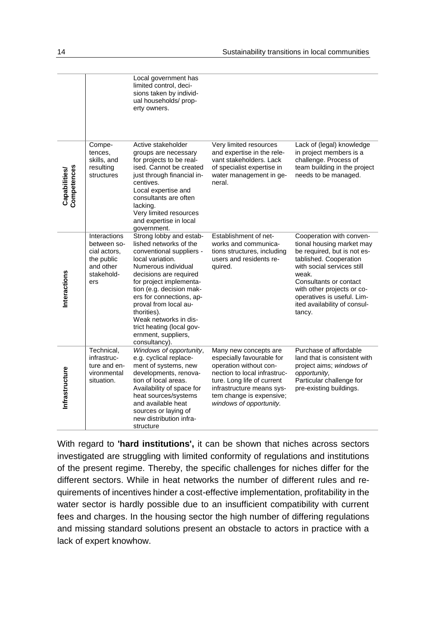|                              |                                                                                             | Local government has<br>limited control, deci-<br>sions taken by individ-<br>ual households/ prop-<br>erty owners.                                                                                                                                                                                                                                                          |                                                                                                                                                                                                                                |                                                                                                                                                                                                                                                                                       |
|------------------------------|---------------------------------------------------------------------------------------------|-----------------------------------------------------------------------------------------------------------------------------------------------------------------------------------------------------------------------------------------------------------------------------------------------------------------------------------------------------------------------------|--------------------------------------------------------------------------------------------------------------------------------------------------------------------------------------------------------------------------------|---------------------------------------------------------------------------------------------------------------------------------------------------------------------------------------------------------------------------------------------------------------------------------------|
| Competences<br>Capabilities/ | Compe-<br>tences,<br>skills, and<br>resulting<br>structures                                 | Active stakeholder<br>groups are necessary<br>for projects to be real-<br>ised. Cannot be created<br>just through financial in-<br>centives.<br>Local expertise and<br>consultants are often<br>lacking.<br>Very limited resources<br>and expertise in local<br>government.                                                                                                 | Very limited resources<br>and expertise in the rele-<br>vant stakeholders. Lack<br>of specialist expertise in<br>water management in ge-<br>neral.                                                                             | Lack of (legal) knowledge<br>in project members is a<br>challenge. Process of<br>team building in the project<br>needs to be managed.                                                                                                                                                 |
| Interactions                 | Interactions<br>between so-<br>cial actors,<br>the public<br>and other<br>stakehold-<br>ers | Strong lobby and estab-<br>lished networks of the<br>conventional suppliers -<br>local variation.<br>Numerous individual<br>decisions are required<br>for project implementa-<br>tion (e.g. decision mak-<br>ers for connections, ap-<br>proval from local au-<br>thorities).<br>Weak networks in dis-<br>trict heating (local gov-<br>ernment, suppliers,<br>consultancy). | Establishment of net-<br>works and communica-<br>tions structures, including<br>users and residents re-<br>quired.                                                                                                             | Cooperation with conven-<br>tional housing market may<br>be required, but is not es-<br>tablished. Cooperation<br>with social services still<br>weak.<br>Consultants or contact<br>with other projects or co-<br>operatives is useful. Lim-<br>ited availability of consul-<br>tancy. |
| Infrastructure               | Technical,<br>infrastruc-<br>ture and en-<br>vironmental<br>situation.                      | Windows of opportunity,<br>e.g. cyclical replace-<br>ment of systems, new<br>developments, renova-<br>tion of local areas.<br>Availability of space for<br>heat sources/systems<br>and available heat<br>sources or laying of<br>new distribution infra-<br>structure                                                                                                       | Many new concepts are<br>especially favourable for<br>operation without con-<br>nection to local infrastruc-<br>ture. Long life of current<br>infrastructure means sys-<br>tem change is expensive;<br>windows of opportunity. | Purchase of affordable<br>land that is consistent with<br>project aims; windows of<br>opportunity,<br>Particular challenge for<br>pre-existing buildings.                                                                                                                             |

With regard to **'hard institutions',** it can be shown that niches across sectors investigated are struggling with limited conformity of regulations and institutions of the present regime. Thereby, the specific challenges for niches differ for the different sectors. While in heat networks the number of different rules and requirements of incentives hinder a cost-effective implementation, profitability in the water sector is hardly possible due to an insufficient compatibility with current fees and charges. In the housing sector the high number of differing regulations and missing standard solutions present an obstacle to actors in practice with a lack of expert knowhow.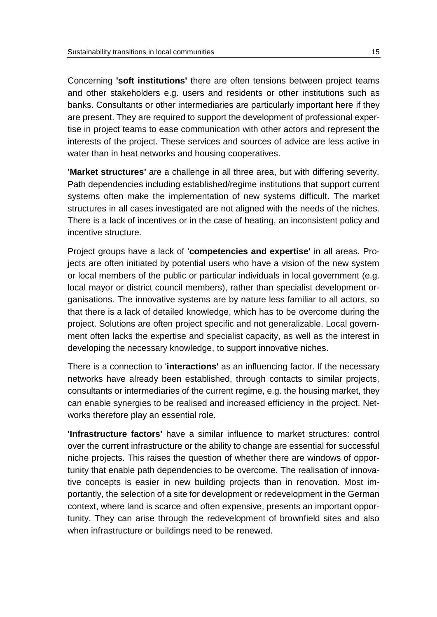Concerning **'soft institutions'** there are often tensions between project teams and other stakeholders e.g. users and residents or other institutions such as banks. Consultants or other intermediaries are particularly important here if they are present. They are required to support the development of professional expertise in project teams to ease communication with other actors and represent the interests of the project. These services and sources of advice are less active in water than in heat networks and housing cooperatives.

**'Market structures'** are a challenge in all three area, but with differing severity. Path dependencies including established/regime institutions that support current systems often make the implementation of new systems difficult. The market structures in all cases investigated are not aligned with the needs of the niches. There is a lack of incentives or in the case of heating, an inconsistent policy and incentive structure.

Project groups have a lack of '**competencies and expertise'** in all areas. Projects are often initiated by potential users who have a vision of the new system or local members of the public or particular individuals in local government (e.g. local mayor or district council members), rather than specialist development organisations. The innovative systems are by nature less familiar to all actors, so that there is a lack of detailed knowledge, which has to be overcome during the project. Solutions are often project specific and not generalizable. Local government often lacks the expertise and specialist capacity, as well as the interest in developing the necessary knowledge, to support innovative niches.

There is a connection to '**interactions'** as an influencing factor. If the necessary networks have already been established, through contacts to similar projects, consultants or intermediaries of the current regime, e.g. the housing market, they can enable synergies to be realised and increased efficiency in the project. Networks therefore play an essential role.

**'Infrastructure factors'** have a similar influence to market structures: control over the current infrastructure or the ability to change are essential for successful niche projects. This raises the question of whether there are windows of opportunity that enable path dependencies to be overcome. The realisation of innovative concepts is easier in new building projects than in renovation. Most importantly, the selection of a site for development or redevelopment in the German context, where land is scarce and often expensive, presents an important opportunity. They can arise through the redevelopment of brownfield sites and also when infrastructure or buildings need to be renewed.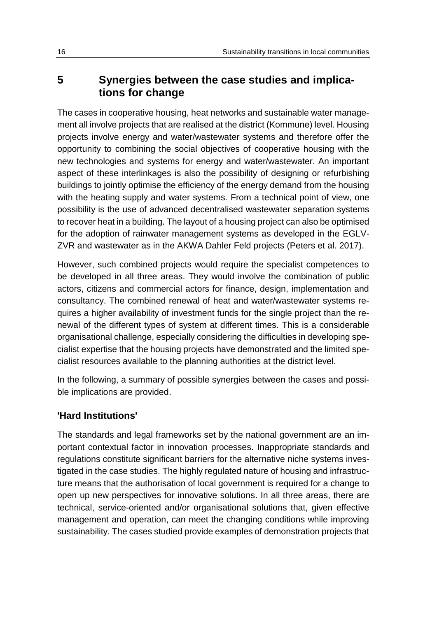# <span id="page-19-0"></span>**5 Synergies between the case studies and implications for change**

The cases in cooperative housing, heat networks and sustainable water management all involve projects that are realised at the district (Kommune) level. Housing projects involve energy and water/wastewater systems and therefore offer the opportunity to combining the social objectives of cooperative housing with the new technologies and systems for energy and water/wastewater. An important aspect of these interlinkages is also the possibility of designing or refurbishing buildings to jointly optimise the efficiency of the energy demand from the housing with the heating supply and water systems. From a technical point of view, one possibility is the use of advanced decentralised wastewater separation systems to recover heat in a building. The layout of a housing project can also be optimised for the adoption of rainwater management systems as developed in the EGLV-ZVR and wastewater as in the AKWA Dahler Feld projects (Peters et al. 2017).

However, such combined projects would require the specialist competences to be developed in all three areas. They would involve the combination of public actors, citizens and commercial actors for finance, design, implementation and consultancy. The combined renewal of heat and water/wastewater systems requires a higher availability of investment funds for the single project than the renewal of the different types of system at different times. This is a considerable organisational challenge, especially considering the difficulties in developing specialist expertise that the housing projects have demonstrated and the limited specialist resources available to the planning authorities at the district level.

In the following, a summary of possible synergies between the cases and possible implications are provided.

### **'Hard Institutions'**

The standards and legal frameworks set by the national government are an important contextual factor in innovation processes. Inappropriate standards and regulations constitute significant barriers for the alternative niche systems investigated in the case studies. The highly regulated nature of housing and infrastructure means that the authorisation of local government is required for a change to open up new perspectives for innovative solutions. In all three areas, there are technical, service-oriented and/or organisational solutions that, given effective management and operation, can meet the changing conditions while improving sustainability. The cases studied provide examples of demonstration projects that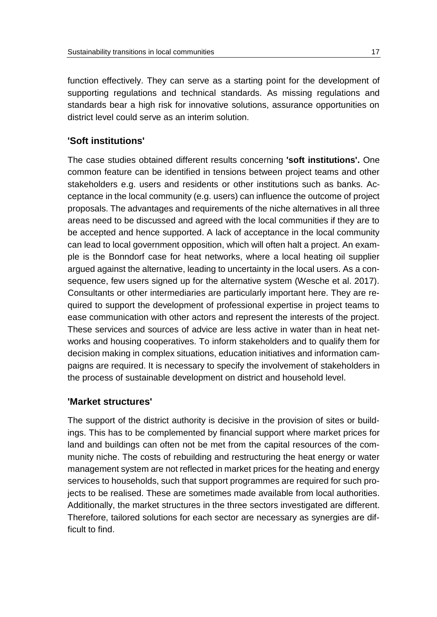function effectively. They can serve as a starting point for the development of supporting regulations and technical standards. As missing regulations and standards bear a high risk for innovative solutions, assurance opportunities on district level could serve as an interim solution.

#### **'Soft institutions'**

The case studies obtained different results concerning **'soft institutions'.** One common feature can be identified in tensions between project teams and other stakeholders e.g. users and residents or other institutions such as banks. Acceptance in the local community (e.g. users) can influence the outcome of project proposals. The advantages and requirements of the niche alternatives in all three areas need to be discussed and agreed with the local communities if they are to be accepted and hence supported. A lack of acceptance in the local community can lead to local government opposition, which will often halt a project. An example is the Bonndorf case for heat networks, where a local heating oil supplier argued against the alternative, leading to uncertainty in the local users. As a consequence, few users signed up for the alternative system (Wesche et al. 2017). Consultants or other intermediaries are particularly important here. They are required to support the development of professional expertise in project teams to ease communication with other actors and represent the interests of the project. These services and sources of advice are less active in water than in heat networks and housing cooperatives. To inform stakeholders and to qualify them for decision making in complex situations, education initiatives and information campaigns are required. It is necessary to specify the involvement of stakeholders in the process of sustainable development on district and household level.

#### **'Market structures'**

The support of the district authority is decisive in the provision of sites or buildings. This has to be complemented by financial support where market prices for land and buildings can often not be met from the capital resources of the community niche. The costs of rebuilding and restructuring the heat energy or water management system are not reflected in market prices for the heating and energy services to households, such that support programmes are required for such projects to be realised. These are sometimes made available from local authorities. Additionally, the market structures in the three sectors investigated are different. Therefore, tailored solutions for each sector are necessary as synergies are difficult to find.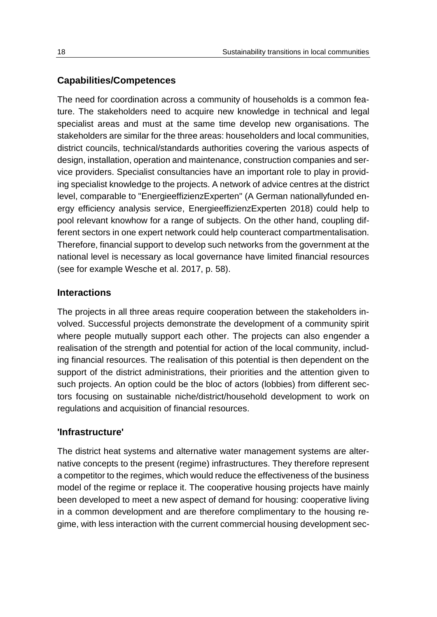### **Capabilities/Competences**

The need for coordination across a community of households is a common feature. The stakeholders need to acquire new knowledge in technical and legal specialist areas and must at the same time develop new organisations. The stakeholders are similar for the three areas: householders and local communities, district councils, technical/standards authorities covering the various aspects of design, installation, operation and maintenance, construction companies and service providers. Specialist consultancies have an important role to play in providing specialist knowledge to the projects. A network of advice centres at the district level, comparable to "EnergieeffizienzExperten" (A German nationallyfunded energy efficiency analysis service, EnergieeffizienzExperten 2018) could help to pool relevant knowhow for a range of subjects. On the other hand, coupling different sectors in one expert network could help counteract compartmentalisation. Therefore, financial support to develop such networks from the government at the national level is necessary as local governance have limited financial resources (see for example Wesche et al. 2017, p. 58).

### **Interactions**

The projects in all three areas require cooperation between the stakeholders involved. Successful projects demonstrate the development of a community spirit where people mutually support each other. The projects can also engender a realisation of the strength and potential for action of the local community, including financial resources. The realisation of this potential is then dependent on the support of the district administrations, their priorities and the attention given to such projects. An option could be the bloc of actors (lobbies) from different sectors focusing on sustainable niche/district/household development to work on regulations and acquisition of financial resources.

### **'Infrastructure'**

The district heat systems and alternative water management systems are alternative concepts to the present (regime) infrastructures. They therefore represent a competitor to the regimes, which would reduce the effectiveness of the business model of the regime or replace it. The cooperative housing projects have mainly been developed to meet a new aspect of demand for housing: cooperative living in a common development and are therefore complimentary to the housing regime, with less interaction with the current commercial housing development sec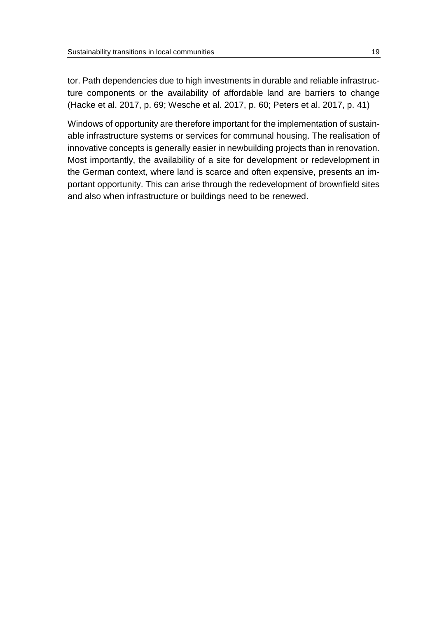tor. Path dependencies due to high investments in durable and reliable infrastructure components or the availability of affordable land are barriers to change (Hacke et al. 2017, p. 69; Wesche et al. 2017, p. 60; Peters et al. 2017, p. 41)

Windows of opportunity are therefore important for the implementation of sustainable infrastructure systems or services for communal housing. The realisation of innovative concepts is generally easier in newbuilding projects than in renovation. Most importantly, the availability of a site for development or redevelopment in the German context, where land is scarce and often expensive, presents an important opportunity. This can arise through the redevelopment of brownfield sites and also when infrastructure or buildings need to be renewed.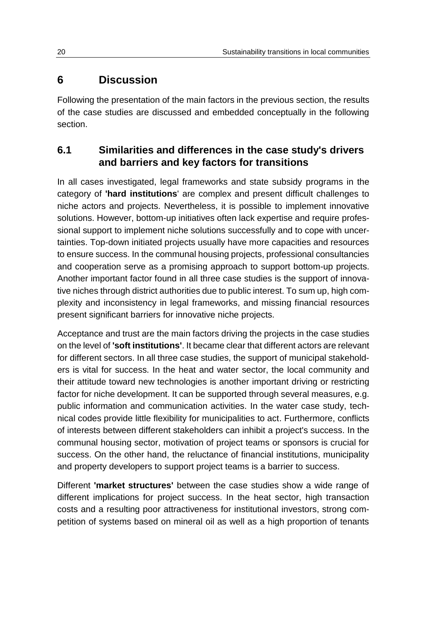# <span id="page-23-0"></span>**6 Discussion**

Following the presentation of the main factors in the previous section, the results of the case studies are discussed and embedded conceptually in the following section.

### <span id="page-23-1"></span>**6.1 Similarities and differences in the case study's drivers and barriers and key factors for transitions**

In all cases investigated, legal frameworks and state subsidy programs in the category of **'hard institutions**' are complex and present difficult challenges to niche actors and projects. Nevertheless, it is possible to implement innovative solutions. However, bottom-up initiatives often lack expertise and require professional support to implement niche solutions successfully and to cope with uncertainties. Top-down initiated projects usually have more capacities and resources to ensure success. In the communal housing projects, professional consultancies and cooperation serve as a promising approach to support bottom-up projects. Another important factor found in all three case studies is the support of innovative niches through district authorities due to public interest. To sum up, high complexity and inconsistency in legal frameworks, and missing financial resources present significant barriers for innovative niche projects.

Acceptance and trust are the main factors driving the projects in the case studies on the level of **'soft institutions'**. It became clear that different actors are relevant for different sectors. In all three case studies, the support of municipal stakeholders is vital for success. In the heat and water sector, the local community and their attitude toward new technologies is another important driving or restricting factor for niche development. It can be supported through several measures, e.g. public information and communication activities. In the water case study, technical codes provide little flexibility for municipalities to act. Furthermore, conflicts of interests between different stakeholders can inhibit a project's success. In the communal housing sector, motivation of project teams or sponsors is crucial for success. On the other hand, the reluctance of financial institutions, municipality and property developers to support project teams is a barrier to success.

Different **'market structures'** between the case studies show a wide range of different implications for project success. In the heat sector, high transaction costs and a resulting poor attractiveness for institutional investors, strong competition of systems based on mineral oil as well as a high proportion of tenants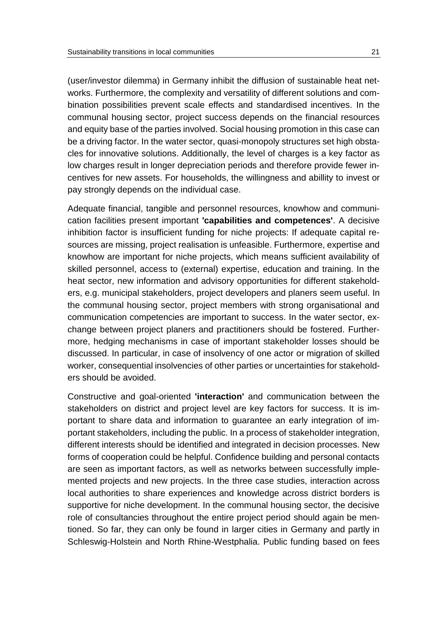(user/investor dilemma) in Germany inhibit the diffusion of sustainable heat networks. Furthermore, the complexity and versatility of different solutions and combination possibilities prevent scale effects and standardised incentives. In the communal housing sector, project success depends on the financial resources and equity base of the parties involved. Social housing promotion in this case can be a driving factor. In the water sector, quasi-monopoly structures set high obstacles for innovative solutions. Additionally, the level of charges is a key factor as low charges result in longer depreciation periods and therefore provide fewer incentives for new assets. For households, the willingness and abillity to invest or pay strongly depends on the individual case.

Adequate financial, tangible and personnel resources, knowhow and communication facilities present important **'capabilities and competences'**. A decisive inhibition factor is insufficient funding for niche projects: If adequate capital resources are missing, project realisation is unfeasible. Furthermore, expertise and knowhow are important for niche projects, which means sufficient availability of skilled personnel, access to (external) expertise, education and training. In the heat sector, new information and advisory opportunities for different stakeholders, e.g. municipal stakeholders, project developers and planers seem useful. In the communal housing sector, project members with strong organisational and communication competencies are important to success. In the water sector, exchange between project planers and practitioners should be fostered. Furthermore, hedging mechanisms in case of important stakeholder losses should be discussed. In particular, in case of insolvency of one actor or migration of skilled worker, consequential insolvencies of other parties or uncertainties for stakeholders should be avoided.

Constructive and goal-oriented **'interaction'** and communication between the stakeholders on district and project level are key factors for success. It is important to share data and information to guarantee an early integration of important stakeholders, including the public. In a process of stakeholder integration, different interests should be identified and integrated in decision processes. New forms of cooperation could be helpful. Confidence building and personal contacts are seen as important factors, as well as networks between successfully implemented projects and new projects. In the three case studies, interaction across local authorities to share experiences and knowledge across district borders is supportive for niche development. In the communal housing sector, the decisive role of consultancies throughout the entire project period should again be mentioned. So far, they can only be found in larger cities in Germany and partly in Schleswig-Holstein and North Rhine-Westphalia. Public funding based on fees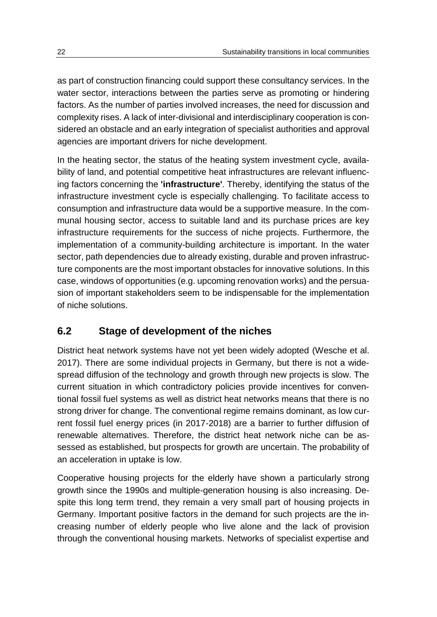as part of construction financing could support these consultancy services. In the water sector, interactions between the parties serve as promoting or hindering factors. As the number of parties involved increases, the need for discussion and complexity rises. A lack of inter-divisional and interdisciplinary cooperation is considered an obstacle and an early integration of specialist authorities and approval agencies are important drivers for niche development.

In the heating sector, the status of the heating system investment cycle, availability of land, and potential competitive heat infrastructures are relevant influencing factors concerning the **'infrastructure'**. Thereby, identifying the status of the infrastructure investment cycle is especially challenging. To facilitate access to consumption and infrastructure data would be a supportive measure. In the communal housing sector, access to suitable land and its purchase prices are key infrastructure requirements for the success of niche projects. Furthermore, the implementation of a community-building architecture is important. In the water sector, path dependencies due to already existing, durable and proven infrastructure components are the most important obstacles for innovative solutions. In this case, windows of opportunities (e.g. upcoming renovation works) and the persuasion of important stakeholders seem to be indispensable for the implementation of niche solutions.

# <span id="page-25-0"></span>**6.2 Stage of development of the niches**

District heat network systems have not yet been widely adopted (Wesche et al. 2017). There are some individual projects in Germany, but there is not a widespread diffusion of the technology and growth through new projects is slow. The current situation in which contradictory policies provide incentives for conventional fossil fuel systems as well as district heat networks means that there is no strong driver for change. The conventional regime remains dominant, as low current fossil fuel energy prices (in 2017-2018) are a barrier to further diffusion of renewable alternatives. Therefore, the district heat network niche can be assessed as established, but prospects for growth are uncertain. The probability of an acceleration in uptake is low.

Cooperative housing projects for the elderly have shown a particularly strong growth since the 1990s and multiple-generation housing is also increasing. Despite this long term trend, they remain a very small part of housing projects in Germany. Important positive factors in the demand for such projects are the increasing number of elderly people who live alone and the lack of provision through the conventional housing markets. Networks of specialist expertise and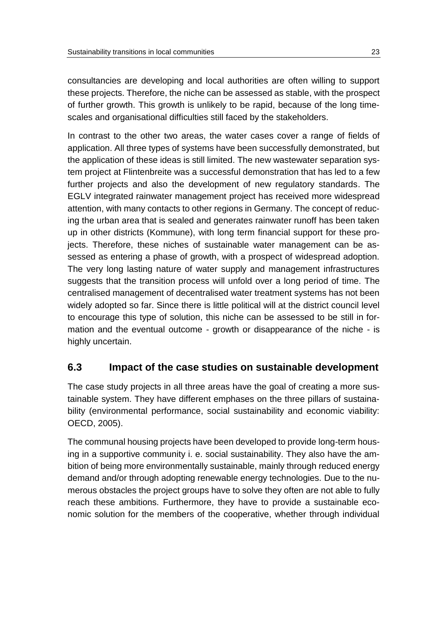consultancies are developing and local authorities are often willing to support these projects. Therefore, the niche can be assessed as stable, with the prospect of further growth. This growth is unlikely to be rapid, because of the long timescales and organisational difficulties still faced by the stakeholders.

In contrast to the other two areas, the water cases cover a range of fields of application. All three types of systems have been successfully demonstrated, but the application of these ideas is still limited. The new wastewater separation system project at Flintenbreite was a successful demonstration that has led to a few further projects and also the development of new regulatory standards. The EGLV integrated rainwater management project has received more widespread attention, with many contacts to other regions in Germany. The concept of reducing the urban area that is sealed and generates rainwater runoff has been taken up in other districts (Kommune), with long term financial support for these projects. Therefore, these niches of sustainable water management can be assessed as entering a phase of growth, with a prospect of widespread adoption. The very long lasting nature of water supply and management infrastructures suggests that the transition process will unfold over a long period of time. The centralised management of decentralised water treatment systems has not been widely adopted so far. Since there is little political will at the district council level to encourage this type of solution, this niche can be assessed to be still in formation and the eventual outcome - growth or disappearance of the niche - is highly uncertain.

### <span id="page-26-0"></span>**6.3 Impact of the case studies on sustainable development**

The case study projects in all three areas have the goal of creating a more sustainable system. They have different emphases on the three pillars of sustainability (environmental performance, social sustainability and economic viability: OECD, 2005).

The communal housing projects have been developed to provide long-term housing in a supportive community i. e. social sustainability. They also have the ambition of being more environmentally sustainable, mainly through reduced energy demand and/or through adopting renewable energy technologies. Due to the numerous obstacles the project groups have to solve they often are not able to fully reach these ambitions. Furthermore, they have to provide a sustainable economic solution for the members of the cooperative, whether through individual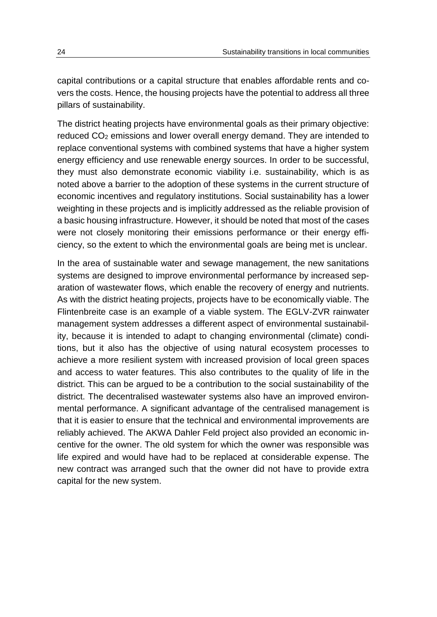capital contributions or a capital structure that enables affordable rents and covers the costs. Hence, the housing projects have the potential to address all three pillars of sustainability.

The district heating projects have environmental goals as their primary objective: reduced CO<sup>2</sup> emissions and lower overall energy demand. They are intended to replace conventional systems with combined systems that have a higher system energy efficiency and use renewable energy sources. In order to be successful, they must also demonstrate economic viability i.e. sustainability, which is as noted above a barrier to the adoption of these systems in the current structure of economic incentives and regulatory institutions. Social sustainability has a lower weighting in these projects and is implicitly addressed as the reliable provision of a basic housing infrastructure. However, it should be noted that most of the cases were not closely monitoring their emissions performance or their energy efficiency, so the extent to which the environmental goals are being met is unclear.

In the area of sustainable water and sewage management, the new sanitations systems are designed to improve environmental performance by increased separation of wastewater flows, which enable the recovery of energy and nutrients. As with the district heating projects, projects have to be economically viable. The Flintenbreite case is an example of a viable system. The EGLV-ZVR rainwater management system addresses a different aspect of environmental sustainability, because it is intended to adapt to changing environmental (climate) conditions, but it also has the objective of using natural ecosystem processes to achieve a more resilient system with increased provision of local green spaces and access to water features. This also contributes to the quality of life in the district. This can be argued to be a contribution to the social sustainability of the district. The decentralised wastewater systems also have an improved environmental performance. A significant advantage of the centralised management is that it is easier to ensure that the technical and environmental improvements are reliably achieved. The AKWA Dahler Feld project also provided an economic incentive for the owner. The old system for which the owner was responsible was life expired and would have had to be replaced at considerable expense. The new contract was arranged such that the owner did not have to provide extra capital for the new system.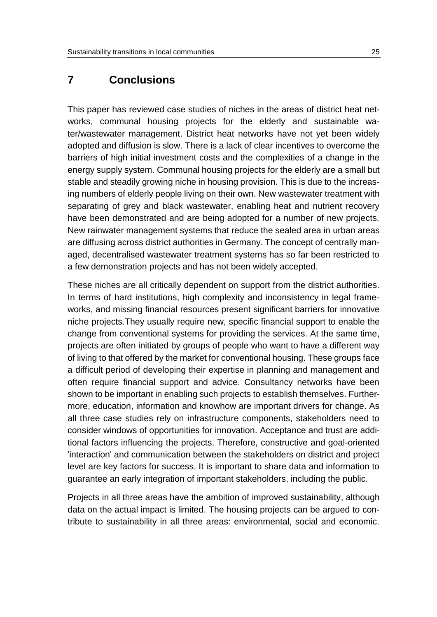## <span id="page-28-0"></span>**7 Conclusions**

This paper has reviewed case studies of niches in the areas of district heat networks, communal housing projects for the elderly and sustainable water/wastewater management. District heat networks have not yet been widely adopted and diffusion is slow. There is a lack of clear incentives to overcome the barriers of high initial investment costs and the complexities of a change in the energy supply system. Communal housing projects for the elderly are a small but stable and steadily growing niche in housing provision. This is due to the increasing numbers of elderly people living on their own. New wastewater treatment with separating of grey and black wastewater, enabling heat and nutrient recovery have been demonstrated and are being adopted for a number of new projects. New rainwater management systems that reduce the sealed area in urban areas are diffusing across district authorities in Germany. The concept of centrally managed, decentralised wastewater treatment systems has so far been restricted to a few demonstration projects and has not been widely accepted.

These niches are all critically dependent on support from the district authorities. In terms of hard institutions, high complexity and inconsistency in legal frameworks, and missing financial resources present significant barriers for innovative niche projects.They usually require new, specific financial support to enable the change from conventional systems for providing the services. At the same time, projects are often initiated by groups of people who want to have a different way of living to that offered by the market for conventional housing. These groups face a difficult period of developing their expertise in planning and management and often require financial support and advice. Consultancy networks have been shown to be important in enabling such projects to establish themselves. Furthermore, education, information and knowhow are important drivers for change. As all three case studies rely on infrastructure components, stakeholders need to consider windows of opportunities for innovation. Acceptance and trust are additional factors influencing the projects. Therefore, constructive and goal-oriented 'interaction' and communication between the stakeholders on district and project level are key factors for success. It is important to share data and information to guarantee an early integration of important stakeholders, including the public.

Projects in all three areas have the ambition of improved sustainability, although data on the actual impact is limited. The housing projects can be argued to contribute to sustainability in all three areas: environmental, social and economic.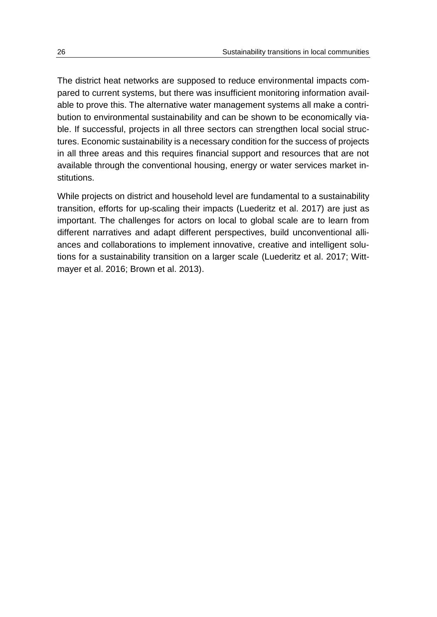The district heat networks are supposed to reduce environmental impacts compared to current systems, but there was insufficient monitoring information available to prove this. The alternative water management systems all make a contribution to environmental sustainability and can be shown to be economically viable. If successful, projects in all three sectors can strengthen local social structures. Economic sustainability is a necessary condition for the success of projects in all three areas and this requires financial support and resources that are not available through the conventional housing, energy or water services market institutions.

While projects on district and household level are fundamental to a sustainability transition, efforts for up-scaling their impacts (Luederitz et al. 2017) are just as important. The challenges for actors on local to global scale are to learn from different narratives and adapt different perspectives, build unconventional alliances and collaborations to implement innovative, creative and intelligent solutions for a sustainability transition on a larger scale (Luederitz et al. 2017; Wittmayer et al. 2016; Brown et al. 2013).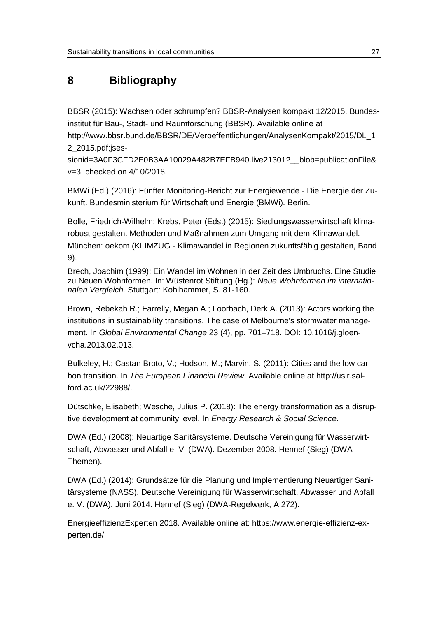# <span id="page-30-0"></span>**8 Bibliography**

BBSR (2015): Wachsen oder schrumpfen? BBSR-Analysen kompakt 12/2015. Bundesinstitut für Bau-, Stadt- und Raumforschung (BBSR). Available online at http://www.bbsr.bund.de/BBSR/DE/Veroeffentlichungen/AnalysenKompakt/2015/DL\_1

2\_2015.pdf;jses-

sionid=3A0F3CFD2E0B3AA10029A482B7EFB940.live21301? blob=publicationFile& v=3, checked on 4/10/2018.

BMWi (Ed.) (2016): Fünfter Monitoring-Bericht zur Energiewende - Die Energie der Zukunft. Bundesministerium für Wirtschaft und Energie (BMWi). Berlin.

Bolle, Friedrich-Wilhelm; Krebs, Peter (Eds.) (2015): Siedlungswasserwirtschaft klimarobust gestalten. Methoden und Maßnahmen zum Umgang mit dem Klimawandel. München: oekom (KLIMZUG - Klimawandel in Regionen zukunftsfähig gestalten, Band 9).

Brech, Joachim (1999): Ein Wandel im Wohnen in der Zeit des Umbruchs. Eine Studie zu Neuen Wohnformen. In: Wüstenrot Stiftung (Hg.): *Neue Wohnformen im internationalen Vergleich.* Stuttgart: Kohlhammer, S. 81-160.

Brown, Rebekah R.; Farrelly, Megan A.; Loorbach, Derk A. (2013): Actors working the institutions in sustainability transitions. The case of Melbourne's stormwater management. In *Global Environmental Change* 23 (4), pp. 701–718. DOI: 10.1016/j.gloenvcha.2013.02.013.

Bulkeley, H.; Castan Broto, V.; Hodson, M.; Marvin, S. (2011): Cities and the low carbon transition. In *The European Financial Review*. Available online at http://usir.salford.ac.uk/22988/.

Dütschke, Elisabeth; Wesche, Julius P. (2018): The energy transformation as a disruptive development at community level. In *Energy Research & Social Science*.

DWA (Ed.) (2008): Neuartige Sanitärsysteme. Deutsche Vereinigung für Wasserwirtschaft, Abwasser und Abfall e. V. (DWA). Dezember 2008. Hennef (Sieg) (DWA-Themen).

DWA (Ed.) (2014): Grundsätze für die Planung und Implementierung Neuartiger Sanitärsysteme (NASS). Deutsche Vereinigung für Wasserwirtschaft, Abwasser und Abfall e. V. (DWA). Juni 2014. Hennef (Sieg) (DWA-Regelwerk, A 272).

EnergieeffizienzExperten 2018. Available online at: https://www.energie-effizienz-experten.de/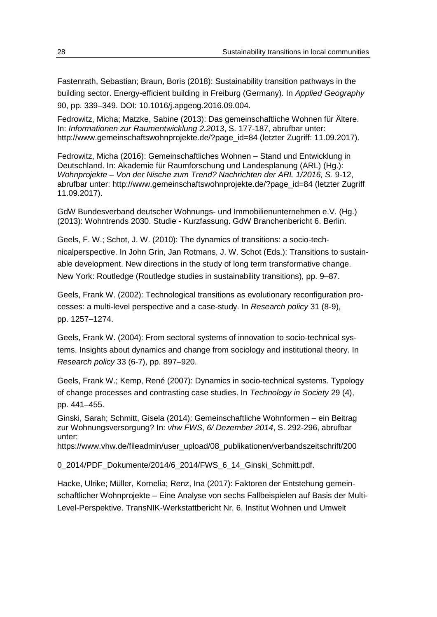Fastenrath, Sebastian; Braun, Boris (2018): Sustainability transition pathways in the building sector. Energy-efficient building in Freiburg (Germany). In *Applied Geography*  90, pp. 339–349. DOI: 10.1016/j.apgeog.2016.09.004.

Fedrowitz, Micha; Matzke, Sabine (2013): Das gemeinschaftliche Wohnen für Ältere. In: *Informationen zur Raumentwicklung 2.2013*, S. 177-187, abrufbar unter: http://www.gemeinschaftswohnprojekte.de/?page\_id=84 (letzter Zugriff: 11.09.2017).

Fedrowitz, Micha (2016): Gemeinschaftliches Wohnen – Stand und Entwicklung in Deutschland. In: Akademie für Raumforschung und Landesplanung (ARL) (Hg.): *Wohnprojekte – Von der Nische zum Trend? Nachrichten der ARL 1/2016, S.* 9-12, abrufbar unter: http://www.gemeinschaftswohnprojekte.de/?page\_id=84 (letzter Zugriff 11.09.2017).

GdW Bundesverband deutscher Wohnungs- und Immobilienunternehmen e.V. (Hg.) (2013): Wohntrends 2030. Studie - Kurzfassung. GdW Branchenbericht 6. Berlin.

Geels, F. W.; Schot, J. W. (2010): The dynamics of transitions: a socio-technicalperspective. In John Grin, Jan Rotmans, J. W. Schot (Eds.): Transitions to sustainable development. New directions in the study of long term transformative change. New York: Routledge (Routledge studies in sustainability transitions), pp. 9–87.

Geels, Frank W. (2002): Technological transitions as evolutionary reconfiguration processes: a multi-level perspective and a case-study. In *Research policy* 31 (8-9), pp. 1257–1274.

Geels, Frank W. (2004): From sectoral systems of innovation to socio-technical systems. Insights about dynamics and change from sociology and institutional theory. In *Research policy* 33 (6-7), pp. 897–920.

Geels, Frank W.; Kemp, René (2007): Dynamics in socio-technical systems. Typology of change processes and contrasting case studies. In *Technology in Society* 29 (4), pp. 441–455.

Ginski, Sarah; Schmitt, Gisela (2014): Gemeinschaftliche Wohnformen – ein Beitrag zur Wohnungsversorgung? In: *vhw FWS*, *6/ Dezember 2014*, S. 292-296, abrufbar unter:

https://www.vhw.de/fileadmin/user\_upload/08\_publikationen/verbandszeitschrift/200

0\_2014/PDF\_Dokumente/2014/6\_2014/FWS\_6\_14\_Ginski\_Schmitt.pdf.

Hacke, Ulrike; Müller, Kornelia; Renz, Ina (2017): Faktoren der Entstehung gemeinschaftlicher Wohnprojekte – Eine Analyse von sechs Fallbeispielen auf Basis der Multi-Level-Perspektive. TransNIK-Werkstattbericht Nr. 6. Institut Wohnen und Umwelt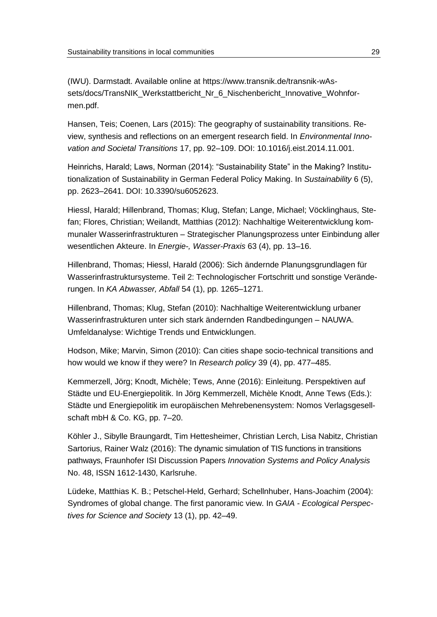(IWU). Darmstadt. Available online at https://www.transnik.de/transnik-wAssets/docs/TransNIK\_Werkstattbericht\_Nr\_6\_Nischenbericht\_Innovative\_Wohnformen.pdf.

Hansen, Teis; Coenen, Lars (2015): The geography of sustainability transitions. Review, synthesis and reflections on an emergent research field. In *Environmental Innovation and Societal Transitions* 17, pp. 92–109. DOI: 10.1016/j.eist.2014.11.001.

Heinrichs, Harald; Laws, Norman (2014): "Sustainability State" in the Making? Institutionalization of Sustainability in German Federal Policy Making. In *Sustainability* 6 (5), pp. 2623–2641. DOI: 10.3390/su6052623.

Hiessl, Harald; Hillenbrand, Thomas; Klug, Stefan; Lange, Michael; Vöcklinghaus, Stefan; Flores, Christian; Weilandt, Matthias (2012): Nachhaltige Weiterentwicklung kommunaler Wasserinfrastrukturen – Strategischer Planungsprozess unter Einbindung aller wesentlichen Akteure. In *Energie-, Wasser-Praxis* 63 (4), pp. 13–16.

Hillenbrand, Thomas; Hiessl, Harald (2006): Sich ändernde Planungsgrundlagen für Wasserinfrastruktursysteme. Teil 2: Technologischer Fortschritt und sonstige Veränderungen. In *KA Abwasser, Abfall* 54 (1), pp. 1265–1271.

Hillenbrand, Thomas; Klug, Stefan (2010): Nachhaltige Weiterentwicklung urbaner Wasserinfrastrukturen unter sich stark ändernden Randbedingungen – NAUWA. Umfeldanalyse: Wichtige Trends und Entwicklungen.

Hodson, Mike; Marvin, Simon (2010): Can cities shape socio-technical transitions and how would we know if they were? In *Research policy* 39 (4), pp. 477–485.

Kemmerzell, Jörg; Knodt, Michèle; Tews, Anne (2016): Einleitung. Perspektiven auf Städte und EU-Energiepolitik. In Jörg Kemmerzell, Michèle Knodt, Anne Tews (Eds.): Städte und Energiepolitik im europäischen Mehrebenensystem: Nomos Verlagsgesellschaft mbH & Co. KG, pp. 7–20.

Köhler J., Sibylle Braungardt, Tim Hettesheimer, Christian Lerch, Lisa Nabitz, Christian Sartorius, Rainer Walz (2016): The dynamic simulation of TIS functions in transitions pathways, Fraunhofer ISI Discussion Papers *Innovation Systems and Policy Analysis*  No. 48, ISSN 1612-1430, Karlsruhe.

Lüdeke, Matthias K. B.; Petschel-Held, Gerhard; Schellnhuber, Hans-Joachim (2004): Syndromes of global change. The first panoramic view. In *GAIA - Ecological Perspectives for Science and Society* 13 (1), pp. 42–49.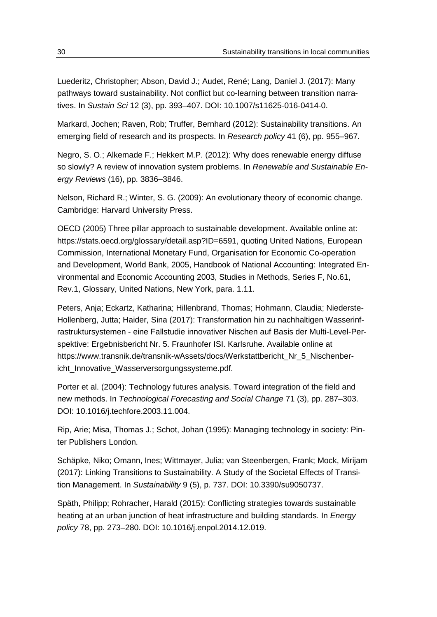Luederitz, Christopher; Abson, David J.; Audet, René; Lang, Daniel J. (2017): Many pathways toward sustainability. Not conflict but co-learning between transition narratives. In *Sustain Sci* 12 (3), pp. 393–407. DOI: 10.1007/s11625-016-0414-0.

Markard, Jochen; Raven, Rob; Truffer, Bernhard (2012): Sustainability transitions. An emerging field of research and its prospects. In *Research policy* 41 (6), pp. 955–967.

Negro, S. O.; Alkemade F.; Hekkert M.P. (2012): Why does renewable energy diffuse so slowly? A review of innovation system problems. In *Renewable and Sustainable Energy Reviews* (16), pp. 3836–3846.

Nelson, Richard R.; Winter, S. G. (2009): An evolutionary theory of economic change. Cambridge: Harvard University Press.

OECD (2005) Three pillar approach to sustainable development. Available online at: https://stats.oecd.org/glossary/detail.asp?ID=6591, quoting United Nations, European Commission, International Monetary Fund, Organisation for Economic Co-operation and Development, World Bank, 2005, Handbook of National Accounting: Integrated Environmental and Economic Accounting 2003, Studies in Methods, Series F, No.61, Rev.1, Glossary, United Nations, New York, para. 1.11.

Peters, Anja; Eckartz, Katharina; Hillenbrand, Thomas; Hohmann, Claudia; Niederste-Hollenberg, Jutta; Haider, Sina (2017): Transformation hin zu nachhaltigen Wasserinfrastruktursystemen - eine Fallstudie innovativer Nischen auf Basis der Multi-Level-Perspektive: Ergebnisbericht Nr. 5. Fraunhofer ISI. Karlsruhe. Available online at https://www.transnik.de/transnik-wAssets/docs/Werkstattbericht\_Nr\_5\_Nischenbericht Innovative Wasserversorgungssysteme.pdf.

Porter et al. (2004): Technology futures analysis. Toward integration of the field and new methods. In *Technological Forecasting and Social Change* 71 (3), pp. 287–303. DOI: 10.1016/j.techfore.2003.11.004.

Rip, Arie; Misa, Thomas J.; Schot, Johan (1995): Managing technology in society: Pinter Publishers London.

Schäpke, Niko; Omann, Ines; Wittmayer, Julia; van Steenbergen, Frank; Mock, Mirijam (2017): Linking Transitions to Sustainability. A Study of the Societal Effects of Transition Management. In *Sustainability* 9 (5), p. 737. DOI: 10.3390/su9050737.

Späth, Philipp; Rohracher, Harald (2015): Conflicting strategies towards sustainable heating at an urban junction of heat infrastructure and building standards. In *Energy policy* 78, pp. 273–280. DOI: 10.1016/j.enpol.2014.12.019.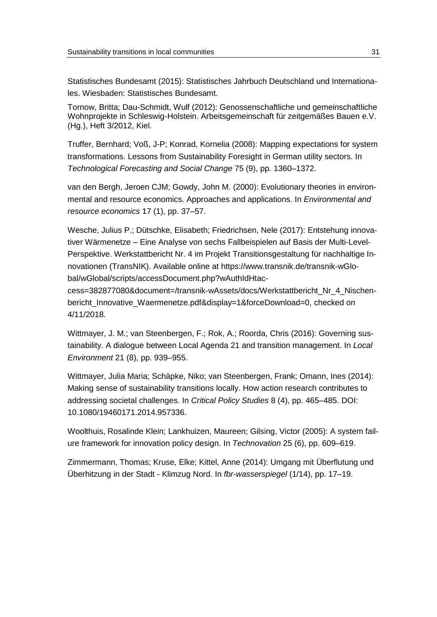Statistisches Bundesamt (2015): Statistisches Jahrbuch Deutschland und Internationales. Wiesbaden: Statistisches Bundesamt.

Tornow, Britta; Dau-Schmidt, Wulf (2012): Genossenschaftliche und gemeinschaftliche Wohnprojekte in Schleswig-Holstein. Arbeitsgemeinschaft für zeitgemäßes Bauen e.V. (Hg.), Heft 3/2012, Kiel.

Truffer, Bernhard; Voß, J-P; Konrad, Kornelia (2008): Mapping expectations for system transformations. Lessons from Sustainability Foresight in German utility sectors. In *Technological Forecasting and Social Change* 75 (9), pp. 1360–1372.

van den Bergh, Jeroen CJM; Gowdy, John M. (2000): Evolutionary theories in environmental and resource economics. Approaches and applications. In *Environmental and resource economics* 17 (1), pp. 37–57.

Wesche, Julius P.; Dütschke, Elisabeth; Friedrichsen, Nele (2017): Entstehung innovativer Wärmenetze – Eine Analyse von sechs Fallbeispielen auf Basis der Multi-Level-Perspektive. Werkstattbericht Nr. 4 im Projekt Transitionsgestaltung für nachhaltige Innovationen (TransNIK). Available online at https://www.transnik.de/transnik-wGlobal/wGlobal/scripts/accessDocument.php?wAuthIdHtac-

cess=382877080&document=/transnik-wAssets/docs/Werkstattbericht\_Nr\_4\_Nischenbericht\_Innovative\_Waermenetze.pdf&display=1&forceDownload=0, checked on 4/11/2018.

Wittmayer, J. M.; van Steenbergen, F.; Rok, A.; Roorda, Chris (2016): Governing sustainability. A dialogue between Local Agenda 21 and transition management. In *Local Environment* 21 (8), pp. 939–955.

Wittmayer, Julia Maria; Schäpke, Niko; van Steenbergen, Frank; Omann, Ines (2014): Making sense of sustainability transitions locally. How action research contributes to addressing societal challenges. In *Critical Policy Studies* 8 (4), pp. 465–485. DOI: 10.1080/19460171.2014.957336.

Woolthuis, Rosalinde Klein; Lankhuizen, Maureen; Gilsing, Victor (2005): A system failure framework for innovation policy design. In *Technovation* 25 (6), pp. 609–619.

Zimmermann, Thomas; Kruse, Elke; Kittel, Anne (2014): Umgang mit Überflutung und Überhitzung in der Stadt - Klimzug Nord. In *fbr-wasserspiegel* (1/14), pp. 17–19.